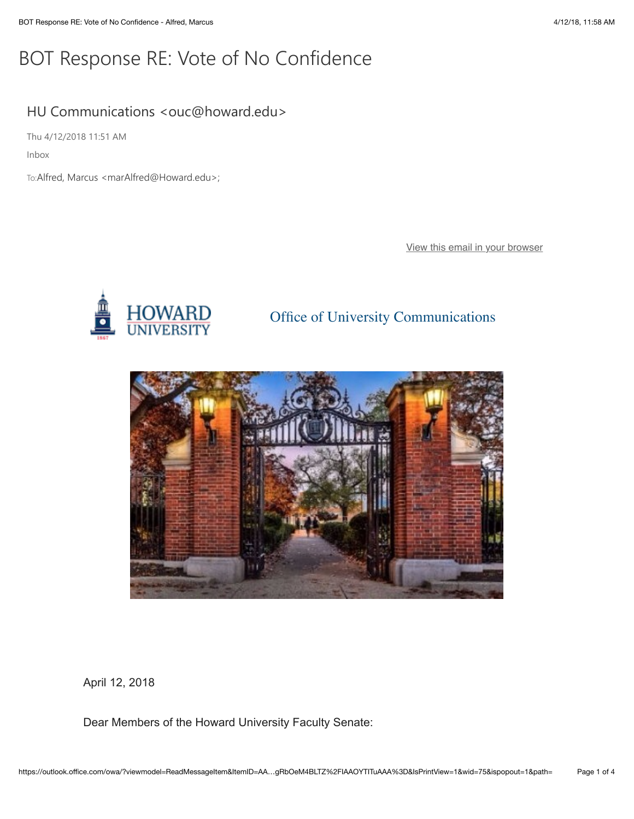## BOT Response RE: Vote of No Confidence

## HU Communications <ouc@howard.edu>

Thu 4/12/2018 11:51 AM

Inbox

To:Alfred, Marcus <marAlfred@Howard.edu>;

[View this email in your browser](https://mailchi.mp/7257a6f8a929/bot-response-re-vote-of-no-confidence-600713?e=0058eb68db)



## Office of University Communications



April 12, 2018

Dear Members of the Howard University Faculty Senate: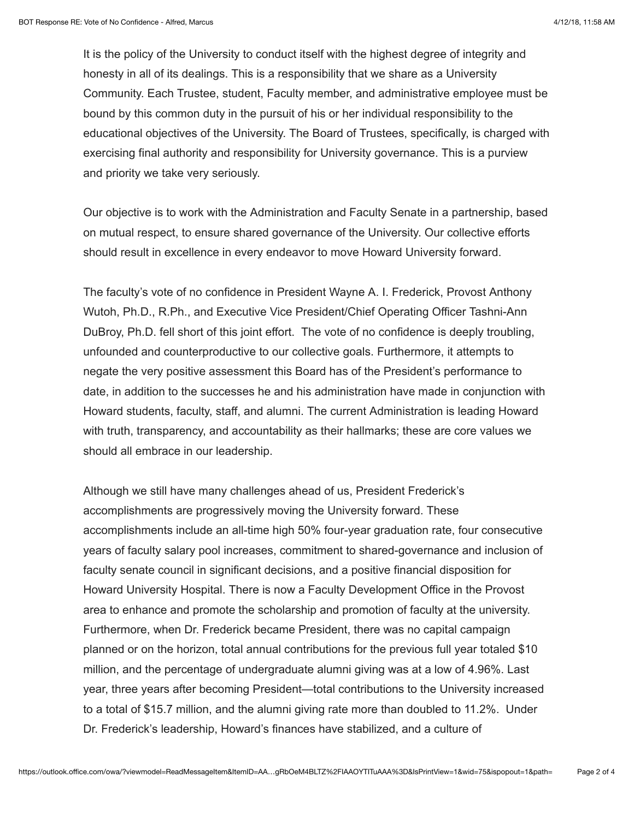It is the policy of the University to conduct itself with the highest degree of integrity and honesty in all of its dealings. This is a responsibility that we share as a University Community. Each Trustee, student, Faculty member, and administrative employee must be bound by this common duty in the pursuit of his or her individual responsibility to the educational objectives of the University. The Board of Trustees, specifically, is charged with exercising final authority and responsibility for University governance. This is a purview and priority we take very seriously.

Our objective is to work with the Administration and Faculty Senate in a partnership, based on mutual respect, to ensure shared governance of the University. Our collective efforts should result in excellence in every endeavor to move Howard University forward.

The faculty's vote of no confidence in President Wayne A. I. Frederick, Provost Anthony Wutoh, Ph.D., R.Ph., and Executive Vice President/Chief Operating Officer Tashni-Ann DuBroy, Ph.D. fell short of this joint effort. The vote of no confidence is deeply troubling, unfounded and counterproductive to our collective goals. Furthermore, it attempts to negate the very positive assessment this Board has of the President's performance to date, in addition to the successes he and his administration have made in conjunction with Howard students, faculty, staff, and alumni. The current Administration is leading Howard with truth, transparency, and accountability as their hallmarks; these are core values we should all embrace in our leadership.

Although we still have many challenges ahead of us, President Frederick's accomplishments are progressively moving the University forward. These accomplishments include an all-time high 50% four-year graduation rate, four consecutive years of faculty salary pool increases, commitment to shared-governance and inclusion of faculty senate council in significant decisions, and a positive financial disposition for Howard University Hospital. There is now a Faculty Development Office in the Provost area to enhance and promote the scholarship and promotion of faculty at the university. Furthermore, when Dr. Frederick became President, there was no capital campaign planned or on the horizon, total annual contributions for the previous full year totaled \$10 million, and the percentage of undergraduate alumni giving was at a low of 4.96%. Last year, three years after becoming President—total contributions to the University increased to a total of \$15.7 million, and the alumni giving rate more than doubled to 11.2%. Under Dr. Frederick's leadership, Howard's finances have stabilized, and a culture of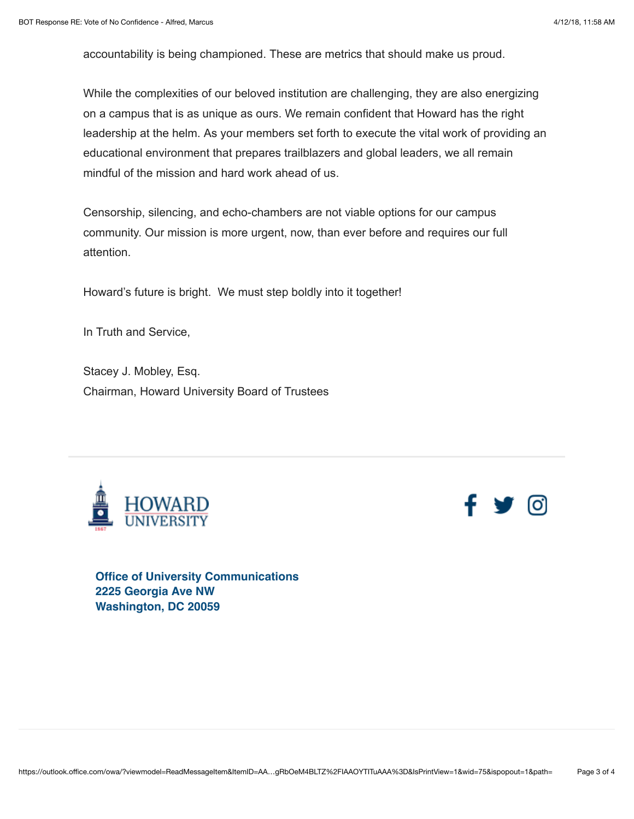accountability is being championed. These are metrics that should make us proud.

While the complexities of our beloved institution are challenging, they are also energizing on a campus that is as unique as ours. We remain confident that Howard has the right leadership at the helm. As your members set forth to execute the vital work of providing an educational environment that prepares trailblazers and global leaders, we all remain mindful of the mission and hard work ahead of us.

Censorship, silencing, and echo-chambers are not viable options for our campus community. Our mission is more urgent, now, than ever before and requires our full attention.

Howard's future is bright. We must step boldly into it together!

In Truth and Service,

Stacey J. Mobley, Esq. Chairman, Howard University Board of Trustees





**Office of University Communications 2225 Georgia Ave NW Washington, DC 20059**